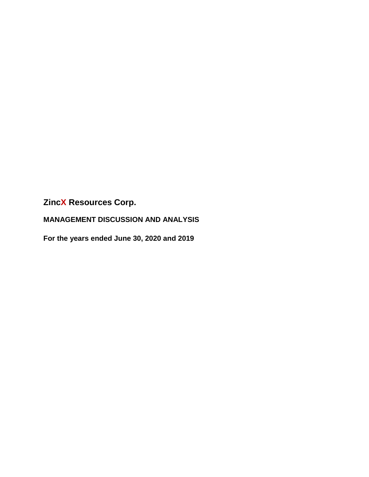**MANAGEMENT DISCUSSION AND ANALYSIS**

**For the years ended June 30, 2020 and 2019**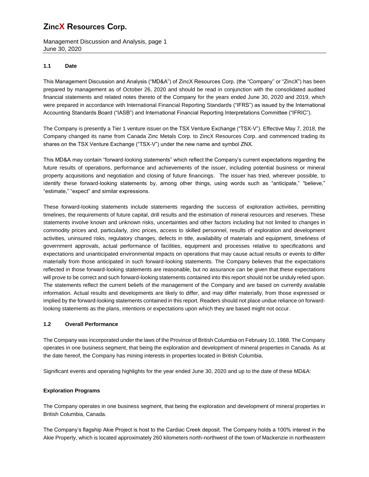Management Discussion and Analysis, page 1 June 30, 2020

## **1.1 Date**

This Management Discussion and Analysis ("MD&A") of ZincX Resources Corp. (the "Company" or "ZincX") has been prepared by management as of October 26, 2020 and should be read in conjunction with the consolidated audited financial statements and related notes thereto of the Company for the years ended June 30, 2020 and 2019, which were prepared in accordance with International Financial Reporting Standards ("IFRS") as issued by the International Accounting Standards Board ("IASB") and International Financial Reporting Interpretations Committee ("IFRIC").

The Company is presently a Tier 1 venture issuer on the TSX Venture Exchange ("TSX-V"). Effective May 7, 2018, the Company changed its name from Canada Zinc Metals Corp. to ZincX Resources Corp. and commenced trading its shares on the TSX Venture Exchange ("TSX-V") under the new name and symbol ZNX.

This MD&A may contain "forward-looking statements" which reflect the Company's current expectations regarding the future results of operations, performance and achievements of the issuer, including potential business or mineral property acquisitions and negotiation and closing of future financings. The issuer has tried, wherever possible, to identify these forward-looking statements by, among other things, using words such as "anticipate," "believe," "estimate," "expect" and similar expressions.

These forward-looking statements include statements regarding the success of exploration activities, permitting timelines, the requirements of future capital, drill results and the estimation of mineral resources and reserves. These statements involve known and unknown risks, uncertainties and other factors including but not limited to changes in commodity prices and, particularly, zinc prices, access to skilled personnel, results of exploration and development activities, uninsured risks, regulatory changes, defects in title, availability of materials and equipment, timeliness of government approvals, actual performance of facilities, equipment and processes relative to specifications and expectations and unanticipated environmental impacts on operations that may cause actual results or events to differ materially from those anticipated in such forward-looking statements. The Company believes that the expectations reflected in those forward-looking statements are reasonable, but no assurance can be given that these expectations will prove to be correct and such forward-looking statements contained into this report should not be unduly relied upon. The statements reflect the current beliefs of the management of the Company and are based on currently available information. Actual results and developments are likely to differ, and may differ materially, from those expressed or implied by the forward-looking statements contained in this report. Readers should not place undue reliance on forwardlooking statements as the plans, intentions or expectations upon which they are based might not occur.

## **1.2 Overall Performance**

The Company was incorporated under the laws of the Province of British Columbia on February 10, 1988. The Company operates in one business segment, that being the exploration and development of mineral properties in Canada. As at the date hereof, the Company has mining interests in properties located in British Columbia.

Significant events and operating highlights for the year ended June 30, 2020 and up to the date of these MD&A:

## **Exploration Programs**

The Company operates in one business segment, that being the exploration and development of mineral properties in British Columbia, Canada.

The Company's flagship Akie Project is host to the Cardiac Creek deposit. The Company holds a 100% interest in the Akie Property, which is located approximately 260 kilometers north-northwest of the town of Mackenzie in northeastern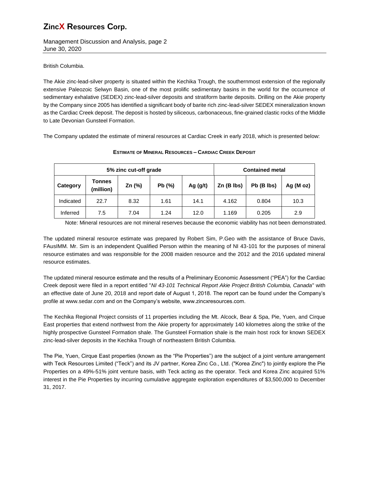Management Discussion and Analysis, page 2 June 30, 2020

British Columbia.

The Akie zinc-lead-silver property is situated within the Kechika Trough, the southernmost extension of the regionally extensive Paleozoic Selwyn Basin, one of the most prolific sedimentary basins in the world for the occurrence of sedimentary exhalative (SEDEX) zinc-lead-silver deposits and stratiform barite deposits. Drilling on the Akie property by the Company since 2005 has identified a significant body of barite rich zinc-lead-silver SEDEX mineralization known as the Cardiac Creek deposit. The deposit is hosted by siliceous, carbonaceous, fine-grained clastic rocks of the Middle to Late Devonian Gunsteel Formation.

The Company updated the estimate of mineral resources at Cardiac Creek in early 2018, which is presented below:

| 5% zinc cut-off grade |                            |        |        |            | <b>Contained metal</b> |            |              |  |
|-----------------------|----------------------------|--------|--------|------------|------------------------|------------|--------------|--|
| Category              | <b>Tonnes</b><br>(million) | Zn (%) | Pb (%) | Ag $(g/t)$ | $Zn$ (B lbs)           | Pb (B lbs) | Ag ( $M$ oz) |  |
| Indicated             | 22.7                       | 8.32   | 1.61   | 14.1       | 4.162                  | 0.804      | 10.3         |  |
| Inferred              | 7.5                        | 7.04   | 1.24   | 12.0       | 1.169                  | 0.205      | 2.9          |  |

#### **ESTIMATE OF MINERAL RESOURCES – CARDIAC CREEK DEPOSIT**

Note: Mineral resources are not mineral reserves because the economic viability has not been demonstrated.

The updated mineral resource estimate was prepared by Robert Sim, P.Geo with the assistance of Bruce Davis, FAusIMM. Mr. Sim is an independent Qualified Person within the meaning of NI 43-101 for the purposes of mineral resource estimates and was responsible for the 2008 maiden resource and the 2012 and the 2016 updated mineral resource estimates.

The updated mineral resource estimate and the results of a Preliminary Economic Assessment ("PEA") for the Cardiac Creek deposit were filed in a report entitled "*NI 43-101 Technical Report Akie Project British Columbia, Canada*" with an effective date of June 20, 2018 and report date of August 1, 2018. The report can be found under the Company's profile at [www.sedar.com](http://www.sedar.com/) and on the Company's website, www.zincxresources.com.

The Kechika Regional Project consists of 11 properties including the Mt. Alcock, Bear & Spa, Pie, Yuen, and Cirque East properties that extend northwest from the Akie property for approximately 140 kilometres along the strike of the highly prospective Gunsteel Formation shale. The Gunsteel Formation shale is the main host rock for known SEDEX zinc-lead-silver deposits in the Kechika Trough of northeastern British Columbia.

The Pie, Yuen, Cirque East properties (known as the "Pie Properties") are the subject of a joint venture arrangement with Teck Resources Limited ("Teck") and its JV partner, Korea Zinc Co., Ltd. ("Korea Zinc") to jointly explore the Pie Properties on a 49%-51% joint venture basis, with Teck acting as the operator. Teck and Korea Zinc acquired 51% interest in the Pie Properties by incurring cumulative aggregate exploration expenditures of \$3,500,000 to December 31, 2017.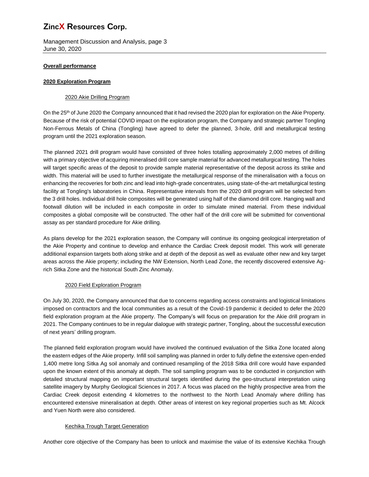Management Discussion and Analysis, page 3 June 30, 2020

## **Overall performance**

### **2020 Exploration Program**

### 2020 Akie Drilling Program

On the 25<sup>th</sup> of June 2020 the Company announced that it had revised the 2020 plan for exploration on the Akie Property. Because of the risk of potential COVID impact on the exploration program, the Company and strategic partner Tongling Non-Ferrous Metals of China (Tongling) have agreed to defer the planned, 3-hole, drill and metallurgical testing program until the 2021 exploration season.

The planned 2021 drill program would have consisted of three holes totalling approximately 2,000 metres of drilling with a primary objective of acquiring mineralised drill core sample material for advanced metallurgical testing. The holes will target specific areas of the deposit to provide sample material representative of the deposit across its strike and width. This material will be used to further investigate the metallurgical response of the mineralisation with a focus on enhancing the recoveries for both zinc and lead into high-grade concentrates, using state-of-the-art metallurgical testing facility at Tongling's laboratories in China. Representative intervals from the 2020 drill program will be selected from the 3 drill holes. Individual drill hole composites will be generated using half of the diamond drill core. Hanging wall and footwall dilution will be included in each composite in order to simulate mined material. From these individual composites a global composite will be constructed. The other half of the drill core will be submitted for conventional assay as per standard procedure for Akie drilling.

As plans develop for the 2021 exploration season, the Company will continue its ongoing geological interpretation of the Akie Property and continue to develop and enhance the Cardiac Creek deposit model. This work will generate additional expansion targets both along strike and at depth of the deposit as well as evaluate other new and key target areas across the Akie property; including the NW Extension, North Lead Zone, the recently discovered extensive Agrich Sitka Zone and the historical South Zinc Anomaly.

### 2020 Field Exploration Program

On July 30, 2020, the Company announced that due to concerns regarding access constraints and logistical limitations imposed on contractors and the local communities as a result of the Covid-19 pandemic it decided to defer the 2020 field exploration program at the Akie property. The Company's will focus on preparation for the Akie drill program in 2021. The Company continues to be in regular dialogue with strategic partner, Tongling, about the successful execution of next years' drilling program.

The planned field exploration program would have involved the continued evaluation of the Sitka Zone located along the eastern edges of the Akie property. Infill soil sampling was planned in order to fully define the extensive open-ended 1,400 metre long Sitka Ag soil anomaly and continued resampling of the 2018 Sitka drill core would have expanded upon the known extent of this anomaly at depth. The soil sampling program was to be conducted in conjunction with detailed structural mapping on important structural targets identified during the geo-structural interpretation using satellite imagery by Murphy Geological Sciences in 2017. A focus was placed on the highly prospective area from the Cardiac Creek deposit extending 4 kilometres to the northwest to the North Lead Anomaly where drilling has encountered extensive mineralisation at depth. Other areas of interest on key regional properties such as Mt. Alcock and Yuen North were also considered.

## Kechika Trough Target Generation

Another core objective of the Company has been to unlock and maximise the value of its extensive Kechika Trough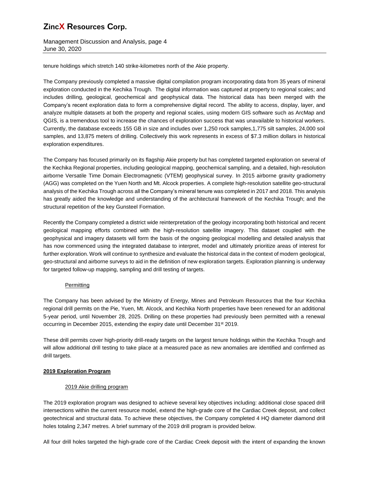Management Discussion and Analysis, page 4 June 30, 2020

tenure holdings which stretch 140 strike-kilometres north of the Akie property.

The Company previously completed a massive digital compilation program incorporating data from 35 years of mineral exploration conducted in the Kechika Trough. The digital information was captured at property to regional scales; and includes drilling, geological, geochemical and geophysical data. The historical data has been merged with the Company's recent exploration data to form a comprehensive digital record. The ability to access, display, layer, and analyze multiple datasets at both the property and regional scales, using modern GIS software such as ArcMap and QGIS, is a tremendous tool to increase the chances of exploration success that was unavailable to historical workers. Currently, the database exceeds 155 GB in size and includes over 1,250 rock samples,1,775 silt samples, 24,000 soil samples, and 13,875 meters of drilling. Collectively this work represents in excess of \$7.3 million dollars in historical exploration expenditures.

The Company has focused primarily on its flagship Akie property but has completed targeted exploration on several of the Kechika Regional properties, including geological mapping, geochemical sampling, and a detailed, high-resolution airborne Versatile Time Domain Electromagnetic (VTEM) geophysical survey. In 2015 airborne gravity gradiometry (AGG) was completed on the Yuen North and Mt. Alcock properties. A complete high-resolution satellite geo-structural analysis of the Kechika Trough across all the Company's mineral tenure was completed in 2017 and 2018. This analysis has greatly aided the knowledge and understanding of the architectural framework of the Kechika Trough; and the structural repetition of the key Gunsteel Formation.

Recently the Company completed a district wide reinterpretation of the geology incorporating both historical and recent geological mapping efforts combined with the high-resolution satellite imagery. This dataset coupled with the geophysical and imagery datasets will form the basis of the ongoing geological modelling and detailed analysis that has now commenced using the integrated database to interpret, model and ultimately prioritize areas of interest for further exploration. Work will continue to synthesize and evaluate the historical data in the context of modern geological, geo-structural and airborne surveys to aid in the definition of new exploration targets. Exploration planning is underway for targeted follow-up mapping, sampling and drill testing of targets.

## **Permitting**

The Company has been advised by the Ministry of Energy, Mines and Petroleum Resources that the four Kechika regional drill permits on the Pie, Yuen, Mt. Alcock, and Kechika North properties have been renewed for an additional 5-year period, until November 28, 2025. Drilling on these properties had previously been permitted with a renewal occurring in December 2015, extending the expiry date until December 31<sup>st</sup> 2019.

These drill permits cover high-priority drill-ready targets on the largest tenure holdings within the Kechika Trough and will allow additional drill testing to take place at a measured pace as new anomalies are identified and confirmed as drill targets.

## **2019 Exploration Program**

## 2019 Akie drilling program

The 2019 exploration program was designed to achieve several key objectives including: additional close spaced drill intersections within the current resource model, extend the high-grade core of the Cardiac Creek deposit, and collect geotechnical and structural data. To achieve these objectives, the Company completed 4 HQ diameter diamond drill holes totaling 2,347 metres. A brief summary of the 2019 drill program is provided below.

All four drill holes targeted the high-grade core of the Cardiac Creek deposit with the intent of expanding the known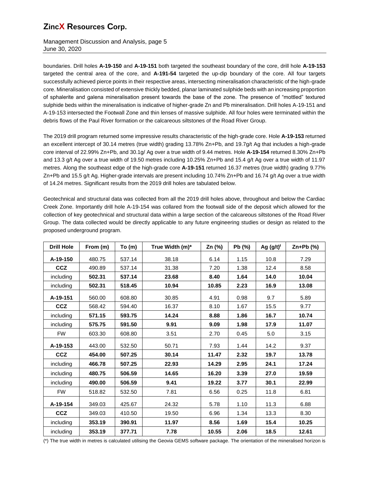Management Discussion and Analysis, page 5 June 30, 2020

boundaries. Drill holes **A-19-150** and **A-19-151** both targeted the southeast boundary of the core, drill hole **A-19-153** targeted the central area of the core, and **A-191-54** targeted the up-dip boundary of the core. All four targets successfully achieved pierce points in their respective areas, intersecting mineralisation characteristic of the high-grade core. Mineralisation consisted of extensive thickly bedded, planar laminated sulphide beds with an increasing proportion of sphalerite and galena mineralisation present towards the base of the zone. The presence of "mottled" textured sulphide beds within the mineralisation is indicative of higher-grade Zn and Pb mineralisation. Drill holes A-19-151 and A-19-153 intersected the Footwall Zone and thin lenses of massive sulphide. All four holes were terminated within the debris flows of the Paul River formation or the calcareous siltstones of the Road River Group.

The 2019 drill program returned some impressive results characteristic of the high-grade core. Hole **A-19-153** returned an excellent intercept of 30.14 metres (true width) grading 13.78% Zn+Pb, and 19.7g/t Ag that includes a high-grade core interval of 22.99% Zn+Pb, and 30.1g/ Ag over a true width of 9.44 metres. Hole **A-19-154** returned 8.30% Zn+Pb and 13.3 g/t Ag over a true width of 19.50 metres including 10.25% Zn+Pb and 15.4 g/t Ag over a true width of 11.97 metres. Along the southeast edge of the high-grade core **A-19-151** returned 16.37 metres (true width) grading 9.77% Zn+Pb and 15.5 g/t Ag. Higher-grade intervals are present including 10.74% Zn+Pb and 16.74 g/t Ag over a true width of 14.24 metres. Significant results from the 2019 drill holes are tabulated below.

Geotechnical and structural data was collected from all the 2019 drill holes above, throughout and below the Cardiac Creek Zone. Importantly drill hole A-19-154 was collared from the footwall side of the deposit which allowed for the collection of key geotechnical and structural data within a large section of the calcareous siltstones of the Road River Group. The data collected would be directly applicable to any future engineering studies or design as related to the proposed underground program.

| <b>Drill Hole</b> | From (m) | To(m)  | True Width (m)* | Zn (%) | Pb (%) | Ag $(g/t)^{t}$ | $Zn+Pb$ (%) |
|-------------------|----------|--------|-----------------|--------|--------|----------------|-------------|
| A-19-150          | 480.75   | 537.14 | 38.18           | 6.14   | 1.15   | 10.8           | 7.29        |
| <b>CCZ</b>        | 490.89   | 537.14 | 31.38           | 7.20   | 1.38   | 12.4           | 8.58        |
| including         | 502.31   | 537.14 | 23.68           | 8.40   | 1.64   | 14.0           | 10.04       |
| including         | 502.31   | 518.45 | 10.94           | 10.85  | 2.23   | 16.9           | 13.08       |
| A-19-151          | 560.00   | 608.80 | 30.85           | 4.91   | 0.98   | 9.7            | 5.89        |
| <b>CCZ</b>        | 568.42   | 594.40 | 16.37           | 8.10   | 1.67   | 15.5           | 9.77        |
| including         | 571.15   | 593.75 | 14.24           | 8.88   | 1.86   | 16.7           | 10.74       |
| including         | 575.75   | 591.50 | 9.91            | 9.09   | 1.98   | 17.9           | 11.07       |
| <b>FW</b>         | 603.30   | 608.80 | 3.51            | 2.70   | 0.45   | 5.0            | 3.15        |
| A-19-153          | 443.00   | 532.50 | 50.71           | 7.93   | 1.44   | 14.2           | 9.37        |
| <b>CCZ</b>        | 454.00   | 507.25 | 30.14           | 11.47  | 2.32   | 19.7           | 13.78       |
| including         | 466.78   | 507.25 | 22.93           | 14.29  | 2.95   | 24.1           | 17.24       |
| including         | 480.75   | 506.59 | 14.65           | 16.20  | 3.39   | 27.0           | 19.59       |
| including         | 490.00   | 506.59 | 9.41            | 19.22  | 3.77   | 30.1           | 22.99       |
| <b>FW</b>         | 518.82   | 532.50 | 7.81            | 6.56   | 0.25   | 11.8           | 6.81        |
| A-19-154          | 349.03   | 425.67 | 24.32           | 5.78   | 1.10   | 11.3           | 6.88        |
| <b>CCZ</b>        | 349.03   | 410.50 | 19.50           | 6.96   | 1.34   | 13.3           | 8.30        |
| including         | 353.19   | 390.91 | 11.97           | 8.56   | 1.69   | 15.4           | 10.25       |
| including         | 353.19   | 377.71 | 7.78            | 10.55  | 2.06   | 18.5           | 12.61       |

(\*) The true width in metres is calculated utilising the Geovia GEMS software package. The orientation of the mineralised horizon is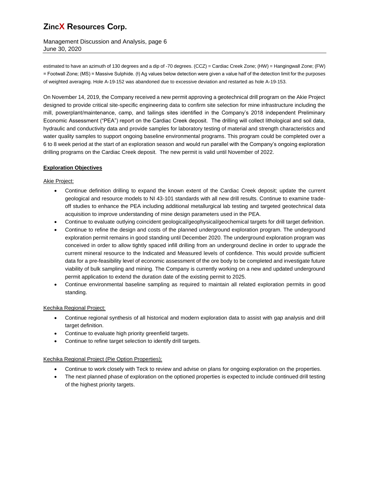Management Discussion and Analysis, page 6 June 30, 2020

estimated to have an azimuth of 130 degrees and a dip of -70 degrees. (CCZ) = Cardiac Creek Zone; (HW) = Hangingwall Zone; (FW) = Footwall Zone; (MS) = Massive Sulphide. (ł) Ag values below detection were given a value half of the detection limit for the purposes of weighted averaging. Hole A-19-152 was abandoned due to excessive deviation and restarted as hole A-19-153.

On November 14, 2019, the Company received a new permit approving a geotechnical drill program on the Akie Project designed to provide critical site-specific engineering data to confirm site selection for mine infrastructure including the mill, powerplant/maintenance, camp, and tailings sites identified in the Company's 2018 independent Preliminary Economic Assessment ("PEA") report on the Cardiac Creek deposit. The drilling will collect lithological and soil data, hydraulic and conductivity data and provide samples for laboratory testing of material and strength characteristics and water quality samples to support ongoing baseline environmental programs. This program could be completed over a 6 to 8 week period at the start of an exploration season and would run parallel with the Company's ongoing exploration drilling programs on the Cardiac Creek deposit. The new permit is valid until November of 2022.

## **Exploration Objectives**

Akie Project:

- Continue definition drilling to expand the known extent of the Cardiac Creek deposit; update the current geological and resource models to NI 43-101 standards with all new drill results. Continue to examine tradeoff studies to enhance the PEA including additional metallurgical lab testing and targeted geotechnical data acquisition to improve understanding of mine design parameters used in the PEA.
- Continue to evaluate outlying coincident geological/geophysical/geochemical targets for drill target definition.
- Continue to refine the design and costs of the planned underground exploration program. The underground exploration permit remains in good standing until December 2020. The underground exploration program was conceived in order to allow tightly spaced infill drilling from an underground decline in order to upgrade the current mineral resource to the Indicated and Measured levels of confidence. This would provide sufficient data for a pre-feasibility level of economic assessment of the ore body to be completed and investigate future viability of bulk sampling and mining. The Company is currently working on a new and updated underground permit application to extend the duration date of the existing permit to 2025.
- Continue environmental baseline sampling as required to maintain all related exploration permits in good standing.

## Kechika Regional Project:

- Continue regional synthesis of all historical and modern exploration data to assist with gap analysis and drill target definition.
- Continue to evaluate high priority greenfield targets.
- Continue to refine target selection to identify drill targets.

## Kechika Regional Project (Pie Option Properties):

- Continue to work closely with Teck to review and advise on plans for ongoing exploration on the properties.
- The next planned phase of exploration on the optioned properties is expected to include continued drill testing of the highest priority targets.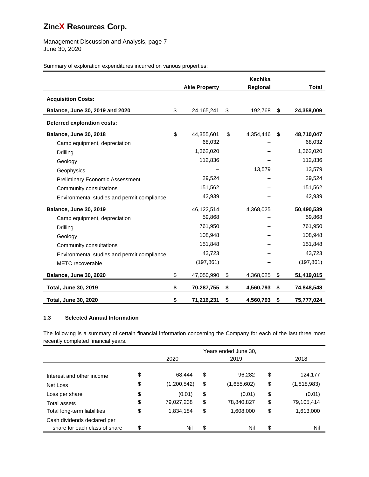Management Discussion and Analysis, page 7 June 30, 2020

Summary of exploration expenditures incurred on various properties:

|                                             |    | <b>Akie Property</b> | Kechika<br>Regional | <b>Total</b>     |
|---------------------------------------------|----|----------------------|---------------------|------------------|
| <b>Acquisition Costs:</b>                   |    |                      |                     |                  |
| Balance, June 30, 2019 and 2020             | \$ | 24,165,241           | \$<br>192,768       | \$<br>24,358,009 |
| <b>Deferred exploration costs:</b>          |    |                      |                     |                  |
| <b>Balance, June 30, 2018</b>               | \$ | 44,355,601           | \$<br>4,354,446     | \$<br>48,710,047 |
| Camp equipment, depreciation                |    | 68,032               |                     | 68,032           |
| Drilling                                    |    | 1,362,020            |                     | 1,362,020        |
| Geology                                     |    | 112,836              |                     | 112,836          |
| Geophysics                                  |    |                      | 13,579              | 13,579           |
| <b>Preliminary Economic Assessment</b>      |    | 29,524               |                     | 29,524           |
| Community consultations                     |    | 151,562              |                     | 151,562          |
| Environmental studies and permit compliance |    | 42,939               |                     | 42,939           |
| <b>Balance, June 30, 2019</b>               |    | 46,122,514           | 4,368,025           | 50,490,539       |
| Camp equipment, depreciation                |    | 59,868               |                     | 59,868           |
| Drilling                                    |    | 761,950              |                     | 761,950          |
| Geology                                     |    | 108,948              |                     | 108,948          |
| Community consultations                     |    | 151,848              |                     | 151,848          |
| Environmental studies and permit compliance |    | 43,723               |                     | 43,723           |
| METC recoverable                            |    | (197, 861)           |                     | (197, 861)       |
| <b>Balance, June 30, 2020</b>               | \$ | 47,050,990           | \$<br>4,368,025     | \$<br>51,419,015 |
| <b>Total, June 30, 2019</b>                 | \$ | 70,287,755           | \$<br>4,560,793     | \$<br>74,848,548 |
| <b>Total, June 30, 2020</b>                 | \$ | 71,216,231           | \$<br>4,560,793     | \$<br>75,777,024 |

## **1.3 Selected Annual Information**

The following is a summary of certain financial information concerning the Company for each of the last three most recently completed financial years.

|                               | Years ended June 30, |             |    |             |    |             |
|-------------------------------|----------------------|-------------|----|-------------|----|-------------|
|                               |                      | 2020        |    | 2019        |    | 2018        |
|                               |                      |             |    |             |    |             |
| Interest and other income     | \$                   | 68.444      | \$ | 96,282      | \$ | 124,177     |
| Net Loss                      | \$                   | (1,200,542) | \$ | (1,655,602) | \$ | (1,818,983) |
| Loss per share                | \$                   | (0.01)      | \$ | (0.01)      | \$ | (0.01)      |
| Total assets                  | \$                   | 79,027,238  | \$ | 78,840,827  | \$ | 79,105,414  |
| Total long-term liabilities   | \$                   | 1,834,184   | \$ | 1,608,000   | \$ | 1,613,000   |
| Cash dividends declared per   |                      |             |    |             |    |             |
| share for each class of share | \$                   | Nil         | \$ | Nil         | \$ | Nil         |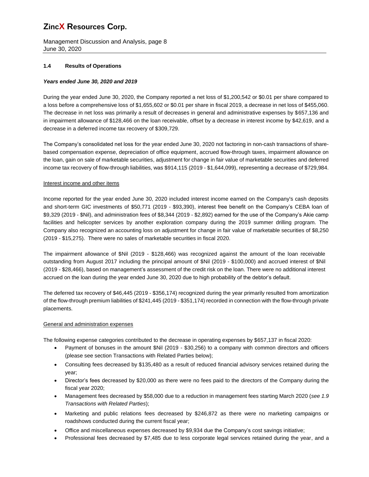Management Discussion and Analysis, page 8 June 30, 2020

### **1.4 Results of Operations**

### *Years ended June 30, 2020 and 2019*

During the year ended June 30, 2020, the Company reported a net loss of \$1,200,542 or \$0.01 per share compared to a loss before a comprehensive loss of \$1,655,602 or \$0.01 per share in fiscal 2019, a decrease in net loss of \$455,060. The decrease in net loss was primarily a result of decreases in general and administrative expenses by \$657,136 and in impairment allowance of \$128,466 on the loan receivable, offset by a decrease in interest income by \$42,619, and a decrease in a deferred income tax recovery of \$309,729.

The Company's consolidated net loss for the year ended June 30, 2020 not factoring in non-cash transactions of sharebased compensation expense, depreciation of office equipment, accrued flow-through taxes, impairment allowance on the loan, gain on sale of marketable securities, adjustment for change in fair value of marketable securities and deferred income tax recovery of flow-through liabilities, was \$914,115 (2019 - \$1,644,099), representing a decrease of \$729,984.

### Interest income and other items

Income reported for the year ended June 30, 2020 included interest income earned on the Company's cash deposits and short-term GIC investments of \$50,771 (2019 - \$93,390), interest free benefit on the Company's CEBA loan of \$9,329 (2019 - \$Nil), and administration fees of \$8,344 (2019 - \$2,892) earned for the use of the Company's Akie camp facilities and helicopter services by another exploration company during the 2019 summer drilling program. The Company also recognized an accounting loss on adjustment for change in fair value of marketable securities of \$8,250 (2019 - \$15,275). There were no sales of marketable securities in fiscal 2020.

The impairment allowance of \$Nil (2019 - \$128,466) was recognized against the amount of the loan receivable outstanding from August 2017 including the principal amount of \$Nil (2019 - \$100,000) and accrued interest of \$Nil (2019 - \$28,466), based on management's assessment of the credit risk on the loan. There were no additional interest accrued on the loan during the year ended June 30, 2020 due to high probability of the debtor's default.

The deferred tax recovery of \$46,445 (2019 - \$356,174) recognized during the year primarily resulted from amortization of the flow-through premium liabilities of \$241,445 (2019 - \$351,174) recorded in connection with the flow-through private placements.

### General and administration expenses

The following expense categories contributed to the decrease in operating expenses by \$657,137 in fiscal 2020:

- Payment of bonuses in the amount \$Nil (2019 \$30,256) to a company with common directors and officers (please see section Transactions with Related Parties below);
- Consulting fees decreased by \$135,480 as a result of reduced financial advisory services retained during the year;
- Director's fees decreased by \$20,000 as there were no fees paid to the directors of the Company during the fiscal year 2020;
- Management fees decreased by \$58,000 due to a reduction in management fees starting March 2020 (*see 1.9 Transactions with Related Parties*);
- Marketing and public relations fees decreased by \$246,872 as there were no marketing campaigns or roadshows conducted during the current fiscal year;
- Office and miscellaneous expenses decreased by \$9,934 due the Company's cost savings initiative;
- Professional fees decreased by \$7,485 due to less corporate legal services retained during the year, and a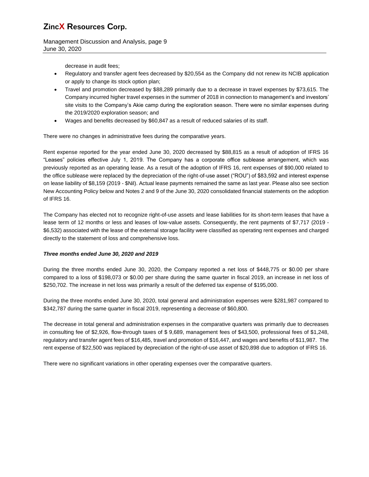Management Discussion and Analysis, page 9 June 30, 2020

decrease in audit fees;

- Regulatory and transfer agent fees decreased by \$20,554 as the Company did not renew its NCIB application or apply to change its stock option plan;
- Travel and promotion decreased by \$88,289 primarily due to a decrease in travel expenses by \$73,615. The Company incurred higher travel expenses in the summer of 2018 in connection to management's and investors' site visits to the Company's Akie camp during the exploration season. There were no similar expenses during the 2019/2020 exploration season; and
- Wages and benefits decreased by \$60,847 as a result of reduced salaries of its staff.

There were no changes in administrative fees during the comparative years.

Rent expense reported for the year ended June 30, 2020 decreased by \$88,815 as a result of adoption of IFRS 16 "Leases" policies effective July 1, 2019. The Company has a corporate office sublease arrangement, which was previously reported as an operating lease. As a result of the adoption of IFRS 16, rent expenses of \$90,000 related to the office sublease were replaced by the depreciation of the right-of-use asset ("ROU") of \$83,592 and interest expense on lease liability of \$8,159 (2019 - \$Nil). Actual lease payments remained the same as last year. Please also see section New Accounting Policy below and Notes 2 and 9 of the June 30, 2020 consolidated financial statements on the adoption of IFRS 16.

The Company has elected not to recognize right-of-use assets and lease liabilities for its short-term leases that have a lease term of 12 months or less and leases of low-value assets. Consequently, the rent payments of \$7,717 (2019 - \$6,532) associated with the lease of the external storage facility were classified as operating rent expenses and charged directly to the statement of loss and comprehensive loss.

## *Three months ended June 30, 2020 and 2019*

During the three months ended June 30, 2020, the Company reported a net loss of \$448,775 or \$0.00 per share compared to a loss of \$198,073 or \$0.00 per share during the same quarter in fiscal 2019, an increase in net loss of \$250,702. The increase in net loss was primarily a result of the deferred tax expense of \$195,000.

During the three months ended June 30, 2020, total general and administration expenses were \$281,987 compared to \$342,787 during the same quarter in fiscal 2019, representing a decrease of \$60,800.

The decrease in total general and administration expenses in the comparative quarters was primarily due to decreases in consulting fee of \$2,926, flow-through taxes of \$ 9,689, management fees of \$43,500, professional fees of \$1,248, regulatory and transfer agent fees of \$16,485, travel and promotion of \$16,447, and wages and benefits of \$11,987. The rent expense of \$22,500 was replaced by depreciation of the right-of-use asset of \$20,898 due to adoption of IFRS 16.

There were no significant variations in other operating expenses over the comparative quarters.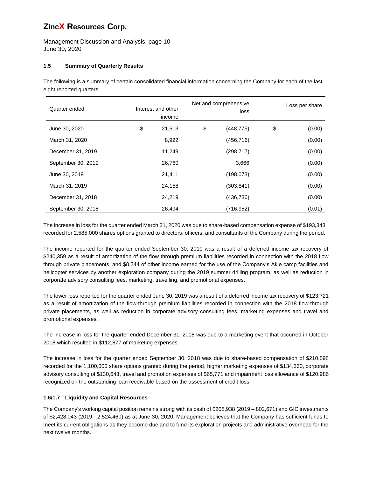Management Discussion and Analysis, page 10 June 30, 2020

## **1.5 Summary of Quarterly Results**

The following is a summary of certain consolidated financial information concerning the Company for each of the last eight reported quarters:

| Quarter ended      | Interest and other<br>income |        | Net and comprehensive<br>loss | Loss per share |
|--------------------|------------------------------|--------|-------------------------------|----------------|
| June 30, 2020      | \$                           | 21,513 | \$<br>(448, 775)              | \$<br>(0.00)   |
| March 31, 2020     |                              | 8,922  | (456, 716)                    | (0.00)         |
| December 31, 2019  |                              | 11,249 | (298, 717)                    | (0.00)         |
| September 30, 2019 |                              | 26,760 | 3,666                         | (0.00)         |
| June 30, 2019      |                              | 21,411 | (198,073)                     | (0.00)         |
| March 31, 2019     |                              | 24,158 | (303, 841)                    | (0.00)         |
| December 31, 2018  |                              | 24.219 | (436, 736)                    | (0.00)         |
| September 30, 2018 |                              | 26,494 | (716, 952)                    | (0.01)         |

The increase in loss for the quarter ended March 31, 2020 was due to share-based compensation expense of \$193,343 recorded for 2,585,000 shares options granted to directors, officers, and consultants of the Company during the period.

The income reported for the quarter ended September 30, 2019 was a result of a deferred income tax recovery of \$240,359 as a result of amortization of the flow through premium liabilities recorded in connection with the 2018 flow through private placements, and \$8,344 of other income earned for the use of the Company's Akie camp facilities and helicopter services by another exploration company during the 2019 summer drilling program, as well as reduction in corporate advisory consulting fees, marketing, travelling, and promotional expenses.

The lower loss reported for the quarter ended June 30, 2019 was a result of a deferred income tax recovery of \$123,721 as a result of amortization of the flow-through premium liabilities recorded in connection with the 2018 flow-through private placements, as well as reduction in corporate advisory consulting fees, marketing expenses and travel and promotional expenses.

The increase in loss for the quarter ended December 31, 2018 was due to a marketing event that occurred in October 2018 which resulted in \$112,877 of marketing expenses.

The increase in loss for the quarter ended September 30, 2018 was due to share-based compensation of \$210,598 recorded for the 1,100,000 share options granted during the period, higher marketing expenses of \$134,360, corporate advisory consulting of \$130,643, travel and promotion expenses of \$65,771 and impairment loss allowance of \$120,986 recognized on the outstanding loan receivable based on the assessment of credit loss.

## **1.6/1.7 Liquidity and Capital Resources**

The Company's working capital position remains strong with its cash of \$208,938 (2019 – 802,671) and GIC investments of \$2,428,043 (2019 - 2,524,460) as at June 30, 2020. Management believes that the Company has sufficient funds to meet its current obligations as they become due and to fund its exploration projects and administrative overhead for the next twelve months.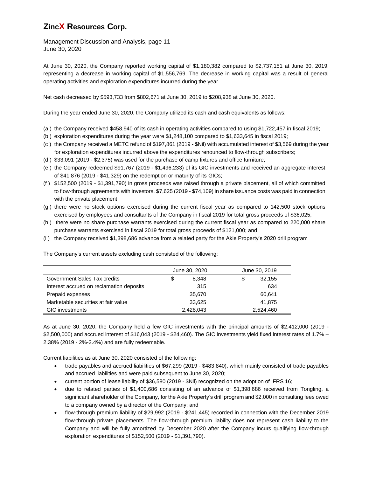Management Discussion and Analysis, page 11 June 30, 2020

At June 30, 2020, the Company reported working capital of \$1,180,382 compared to \$2,737,151 at June 30, 2019, representing a decrease in working capital of \$1,556,769. The decrease in working capital was a result of general operating activities and exploration expenditures incurred during the year.

Net cash decreased by \$593,733 from \$802,671 at June 30, 2019 to \$208,938 at June 30, 2020.

During the year ended June 30, 2020, the Company utilized its cash and cash equivalents as follows:

- (a ) the Company received \$458,940 of its cash in operating activities compared to using \$1,722,457 in fiscal 2019;
- (b ) exploration expenditures during the year were \$1,248,100 compared to \$1,633,645 in fiscal 2019;
- (c ) the Company received a METC refund of \$197,861 (2019 \$Nil) with accumulated interest of \$3,569 during the year for exploration expenditures incurred above the expenditures renounced to flow-through subscribers;
- (d ) \$33,091 (2019 \$2,375) was used for the purchase of camp fixtures and office furniture;
- (e ) the Company redeemed \$91,767 (2019 \$1,496,233) of its GIC investments and received an aggregate interest of \$41,876 (2019 - \$41,329) on the redemption or maturity of its GICs;
- (f ) \$152,500 (2019 \$1,391,790) in gross proceeds was raised through a private placement, all of which committed to flow-through agreements with investors. \$7,625 (2019 - \$74,109) in share issuance costs was paid in connection with the private placement;
- (g ) there were no stock options exercised during the current fiscal year as compared to 142,500 stock options exercised by employees and consultants of the Company in fiscal 2019 for total gross proceeds of \$36,025;
- (h ) there were no share purchase warrants exercised during the current fiscal year as compared to 220,000 share purchase warrants exercised in fiscal 2019 for total gross proceeds of \$121,000; and
- (i ) the Company received \$1,398,686 advance from a related party for the Akie Property's 2020 drill program

|                                          | June 30, 2020 | June 30, 2019 |           |
|------------------------------------------|---------------|---------------|-----------|
| Government Sales Tax credits             | \$<br>8.348   | \$            | 32,155    |
| Interest accrued on reclamation deposits | 315           |               | 634       |
| Prepaid expenses                         | 35,670        |               | 60,641    |
| Marketable securities at fair value      | 33,625        |               | 41,875    |
| <b>GIC</b> investments                   | 2,428,043     |               | 2,524,460 |

The Company's current assets excluding cash consisted of the following:

As at June 30, 2020, the Company held a few GIC investments with the principal amounts of \$2,412,000 (2019 - \$2,500,000) and accrued interest of \$16,043 (2019 - \$24,460). The GIC investments yield fixed interest rates of 1.7% – 2.38% (2019 - 2%-2.4%) and are fully redeemable.

Current liabilities as at June 30, 2020 consisted of the following:

- trade payables and accrued liabilities of \$67,299 (2019 \$483,840), which mainly consisted of trade payables and accrued liabilities and were paid subsequent to June 30, 2020;
- current portion of lease liability of \$36,580 (2019 \$Nil) recognized on the adoption of IFRS 16;
- due to related parties of \$1,400,686 consisting of an advance of \$1,398,686 received from Tongling, a significant shareholder of the Company, for the Akie Property's drill program and \$2,000 in consulting fees owed to a company owned by a director of the Company; and
- flow-through premium liability of \$29,992 (2019 \$241,445) recorded in connection with the December 2019 flow-through private placements. The flow-through premium liability does not represent cash liability to the Company and will be fully amortized by December 2020 after the Company incurs qualifying flow-through exploration expenditures of \$152,500 (2019 - \$1,391,790).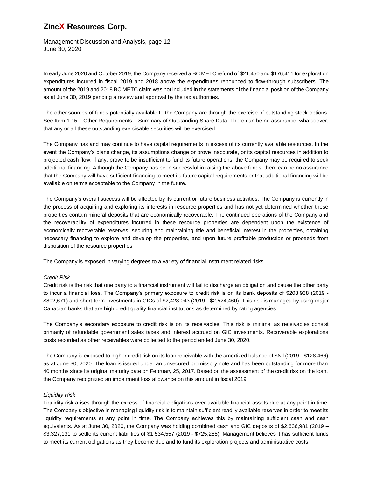Management Discussion and Analysis, page 12 June 30, 2020

In early June 2020 and October 2019, the Company received a BC METC refund of \$21,450 and \$176,411 for exploration expenditures incurred in fiscal 2019 and 2018 above the expenditures renounced to flow-through subscribers. The amount of the 2019 and 2018 BC METC claim was not included in the statements of the financial position of the Company as at June 30, 2019 pending a review and approval by the tax authorities.

The other sources of funds potentially available to the Company are through the exercise of outstanding stock options. See Item 1.15 – Other Requirements – Summary of Outstanding Share Data. There can be no assurance, whatsoever, that any or all these outstanding exercisable securities will be exercised.

The Company has and may continue to have capital requirements in excess of its currently available resources. In the event the Company's plans change, its assumptions change or prove inaccurate, or its capital resources in addition to projected cash flow, if any, prove to be insufficient to fund its future operations, the Company may be required to seek additional financing. Although the Company has been successful in raising the above funds, there can be no assurance that the Company will have sufficient financing to meet its future capital requirements or that additional financing will be available on terms acceptable to the Company in the future.

The Company's overall success will be affected by its current or future business activities. The Company is currently in the process of acquiring and exploring its interests in resource properties and has not yet determined whether these properties contain mineral deposits that are economically recoverable. The continued operations of the Company and the recoverability of expenditures incurred in these resource properties are dependent upon the existence of economically recoverable reserves, securing and maintaining title and beneficial interest in the properties, obtaining necessary financing to explore and develop the properties, and upon future profitable production or proceeds from disposition of the resource properties.

The Company is exposed in varying degrees to a variety of financial instrument related risks.

## *Credit Risk*

Credit risk is the risk that one party to a financial instrument will fail to discharge an obligation and cause the other party to incur a financial loss. The Company's primary exposure to credit risk is on its bank deposits of \$208,938 (2019 - \$802,671) and short-term investments in GICs of \$2,428,043 (2019 - \$2,524,460). This risk is managed by using major Canadian banks that are high credit quality financial institutions as determined by rating agencies.

The Company's secondary exposure to credit risk is on its receivables. This risk is minimal as receivables consist primarily of refundable government sales taxes and interest accrued on GIC investments. Recoverable explorations costs recorded as other receivables were collected to the period ended June 30, 2020.

The Company is exposed to higher credit risk on its loan receivable with the amortized balance of \$Nil (2019 - \$128,466) as at June 30, 2020. The loan is issued under an unsecured promissory note and has been outstanding for more than 40 months since its original maturity date on February 25, 2017. Based on the assessment of the credit risk on the loan, the Company recognized an impairment loss allowance on this amount in fiscal 2019.

### *Liquidity Risk*

Liquidity risk arises through the excess of financial obligations over available financial assets due at any point in time. The Company's objective in managing liquidity risk is to maintain sufficient readily available reserves in order to meet its liquidity requirements at any point in time. The Company achieves this by maintaining sufficient cash and cash equivalents. As at June 30, 2020, the Company was holding combined cash and GIC deposits of \$2,636,981 (2019 – \$3,327,131 to settle its current liabilities of \$1,534,557 (2019 - \$725,285). Management believes it has sufficient funds to meet its current obligations as they become due and to fund its exploration projects and administrative costs.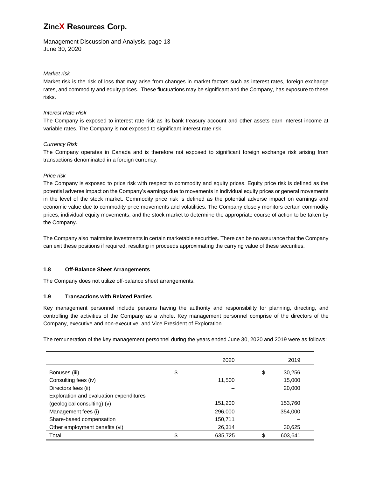Management Discussion and Analysis, page 13 June 30, 2020

### *Market risk*

Market risk is the risk of loss that may arise from changes in market factors such as interest rates, foreign exchange rates, and commodity and equity prices. These fluctuations may be significant and the Company, has exposure to these risks.

### *Interest Rate Risk*

The Company is exposed to interest rate risk as its bank treasury account and other assets earn interest income at variable rates. The Company is not exposed to significant interest rate risk.

### *Currency Risk*

The Company operates in Canada and is therefore not exposed to significant foreign exchange risk arising from transactions denominated in a foreign currency.

### *Price risk*

The Company is exposed to price risk with respect to commodity and equity prices. Equity price risk is defined as the potential adverse impact on the Company's earnings due to movements in individual equity prices or general movements in the level of the stock market. Commodity price risk is defined as the potential adverse impact on earnings and economic value due to commodity price movements and volatilities. The Company closely monitors certain commodity prices, individual equity movements, and the stock market to determine the appropriate course of action to be taken by the Company.

The Company also maintains investments in certain marketable securities. There can be no assurance that the Company can exit these positions if required, resulting in proceeds approximating the carrying value of these securities.

### **1.8 Off-Balance Sheet Arrangements**

The Company does not utilize off-balance sheet arrangements.

## **1.9 Transactions with Related Parties**

Key management personnel include persons having the authority and responsibility for planning, directing, and controlling the activities of the Company as a whole. Key management personnel comprise of the directors of the Company, executive and non-executive, and Vice President of Exploration.

The remuneration of the key management personnel during the years ended June 30, 2020 and 2019 were as follows:

|                                         | 2020          | 2019          |
|-----------------------------------------|---------------|---------------|
| Bonuses (iii)                           | \$            | \$<br>30,256  |
| Consulting fees (iv)                    | 11,500        | 15,000        |
| Directors fees (ii)                     |               | 20,000        |
| Exploration and evaluation expenditures |               |               |
| (geological consulting) (v)             | 151,200       | 153,760       |
| Management fees (i)                     | 296,000       | 354,000       |
| Share-based compensation                | 150,711       |               |
| Other employment benefits (vi)          | 26,314        | 30,625        |
| Total                                   | \$<br>635,725 | \$<br>603,641 |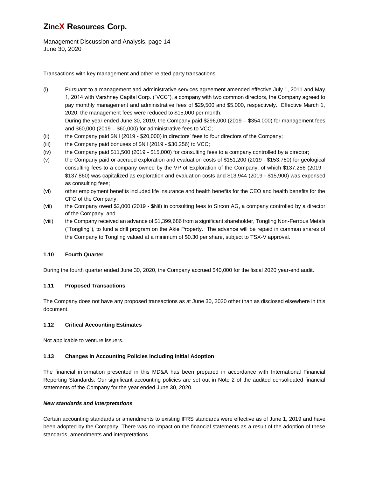Management Discussion and Analysis, page 14 June 30, 2020

Transactions with key management and other related party transactions:

- (i) Pursuant to a management and administrative services agreement amended effective July 1, 2011 and May 1, 2014 with Varshney Capital Corp. ("VCC"), a company with two common directors, the Company agreed to pay monthly management and administrative fees of \$29,500 and \$5,000, respectively. Effective March 1, 2020, the management fees were reduced to \$15,000 per month. During the year ended June 30, 2019, the Company paid \$296,000 (2019 – \$354,000) for management fees
	- and \$60,000 (2019 \$60,000) for administrative fees to VCC;
- (ii) the Company paid \$Nil (2019 \$20,000) in directors' fees to four directors of the Company;
- (iii) the Company paid bonuses of \$Nil (2019 \$30,256) to VCC;
- (iv) the Company paid \$11,500 (2019 \$15,000) for consulting fees to a company controlled by a director;
- (v) the Company paid or accrued exploration and evaluation costs of \$151,200 (2019 \$153,760) for geological consulting fees to a company owned by the VP of Exploration of the Company, of which \$137,256 (2019 - \$137,860) was capitalized as exploration and evaluation costs and \$13,944 (2019 - \$15,900) was expensed as consulting fees;
- (vi) other employment benefits included life insurance and health benefits for the CEO and health benefits for the CFO of the Company;
- (vii) the Company owed \$2,000 (2019 \$Nil) in consulting fees to Sircon AG, a company controlled by a director of the Company; and
- (viii) the Company received an advance of \$1,399,686 from a significant shareholder, Tongling Non-Ferrous Metals ("Tongling"), to fund a drill program on the Akie Property. The advance will be repaid in common shares of the Company to Tongling valued at a minimum of \$0.30 per share, subject to TSX-V approval.

## **1.10 Fourth Quarter**

During the fourth quarter ended June 30, 2020, the Company accrued \$40,000 for the fiscal 2020 year-end audit.

## **1.11 Proposed Transactions**

The Company does not have any proposed transactions as at June 30, 2020 other than as disclosed elsewhere in this document.

## **1.12 Critical Accounting Estimates**

Not applicable to venture issuers.

## **1.13 Changes in Accounting Policies including Initial Adoption**

The financial information presented in this MD&A has been prepared in accordance with International Financial Reporting Standards. Our significant accounting policies are set out in Note 2 of the audited consolidated financial statements of the Company for the year ended June 30, 2020.

### *New standards and interpretations*

Certain accounting standards or amendments to existing IFRS standards were effective as of June 1, 2019 and have been adopted by the Company. There was no impact on the financial statements as a result of the adoption of these standards, amendments and interpretations.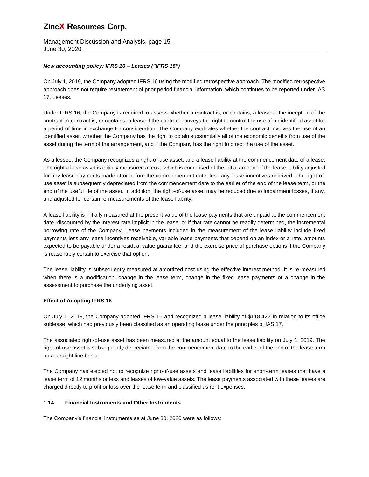Management Discussion and Analysis, page 15 June 30, 2020

## *New accounting policy: IFRS 16 – Leases ("IFRS 16")*

On July 1, 2019, the Company adopted IFRS 16 using the modified retrospective approach. The modified retrospective approach does not require restatement of prior period financial information, which continues to be reported under IAS 17, Leases.

Under IFRS 16, the Company is required to assess whether a contract is, or contains, a lease at the inception of the contract. A contract is, or contains, a lease if the contract conveys the right to control the use of an identified asset for a period of time in exchange for consideration. The Company evaluates whether the contract involves the use of an identified asset, whether the Company has the right to obtain substantially all of the economic benefits from use of the asset during the term of the arrangement, and if the Company has the right to direct the use of the asset.

As a lessee, the Company recognizes a right-of-use asset, and a lease liability at the commencement date of a lease. The right-of-use asset is initially measured at cost, which is comprised of the initial amount of the lease liability adjusted for any lease payments made at or before the commencement date, less any lease incentives received. The right-ofuse asset is subsequently depreciated from the commencement date to the earlier of the end of the lease term, or the end of the useful life of the asset. In addition, the right-of-use asset may be reduced due to impairment losses, if any, and adjusted for certain re-measurements of the lease liability.

A lease liability is initially measured at the present value of the lease payments that are unpaid at the commencement date, discounted by the interest rate implicit in the lease, or if that rate cannot be readily determined, the incremental borrowing rate of the Company. Lease payments included in the measurement of the lease liability include fixed payments less any lease incentives receivable, variable lease payments that depend on an index or a rate, amounts expected to be payable under a residual value guarantee, and the exercise price of purchase options if the Company is reasonably certain to exercise that option.

The lease liability is subsequently measured at amortized cost using the effective interest method. It is re-measured when there is a modification, change in the lease term, change in the fixed lease payments or a change in the assessment to purchase the underlying asset.

## **Effect of Adopting IFRS 16**

On July 1, 2019, the Company adopted IFRS 16 and recognized a lease liability of \$118,422 in relation to its office sublease, which had previously been classified as an operating lease under the principles of IAS 17.

The associated right-of-use asset has been measured at the amount equal to the lease liability on July 1, 2019. The right-of-use asset is subsequently depreciated from the commencement date to the earlier of the end of the lease term on a straight line basis.

The Company has elected not to recognize right-of-use assets and lease liabilities for short-term leases that have a lease term of 12 months or less and leases of low-value assets. The lease payments associated with these leases are charged directly to profit or loss over the lease term and classified as rent expenses.

## **1.14 Financial Instruments and Other Instruments**

The Company's financial instruments as at June 30, 2020 were as follows: